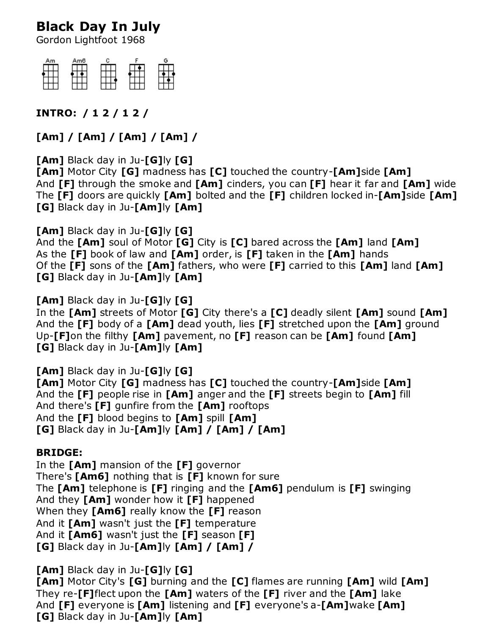## **Black Day In July**

Gordon Lightfoot 1968



## **INTRO: / 1 2 / 1 2 /**

**[Am] / [Am] / [Am] / [Am] /**

**[Am]** Black day in Ju-**[G]**ly **[G] [Am]** Motor City **[G]** madness has **[C]** touched the country-**[Am]**side **[Am]** And **[F]** through the smoke and **[Am]** cinders, you can **[F]** hear it far and **[Am]** wide The **[F]** doors are quickly **[Am]** bolted and the **[F]** children locked in-**[Am]**side **[Am] [G]** Black day in Ju-**[Am]**ly **[Am]**

**[Am]** Black day in Ju-**[G]**ly **[G]** And the **[Am]** soul of Motor **[G]** City is **[C]** bared across the **[Am]** land **[Am]** As the **[F]** book of law and **[Am]** order, is **[F]** taken in the **[Am]** hands Of the **[F]** sons of the **[Am]** fathers, who were **[F]** carried to this **[Am]** land **[Am] [G]** Black day in Ju-**[Am]**ly **[Am]**

**[Am]** Black day in Ju-**[G]**ly **[G]** In the **[Am]** streets of Motor **[G]** City there's a **[C]** deadly silent **[Am]** sound **[Am]** And the **[F]** body of a **[Am]** dead youth, lies **[F]** stretched upon the **[Am]** ground Up-**[F]**on the filthy **[Am]** pavement, no **[F]** reason can be **[Am]** found **[Am] [G]** Black day in Ju-**[Am]**ly **[Am]**

**[Am]** Black day in Ju-**[G]**ly **[G] [Am]** Motor City **[G]** madness has **[C]** touched the country-**[Am]**side **[Am]** And the **[F]** people rise in **[Am]** anger and the **[F]** streets begin to **[Am]** fill And there's **[F]** gunfire from the **[Am]** rooftops And the **[F]** blood begins to **[Am]** spill **[Am] [G]** Black day in Ju-**[Am]**ly **[Am] / [Am] / [Am]**

## **BRIDGE:**

In the **[Am]** mansion of the **[F]** governor There's **[Am6]** nothing that is **[F]** known for sure The **[Am]** telephone is **[F]** ringing and the **[Am6]** pendulum is **[F]** swinging And they **[Am]** wonder how it **[F]** happened When they **[Am6]** really know the **[F]** reason And it **[Am]** wasn't just the **[F]** temperature And it **[Am6]** wasn't just the **[F]** season **[F] [G]** Black day in Ju-**[Am]**ly **[Am] / [Am] /**

**[Am]** Black day in Ju-**[G]**ly **[G] [Am]** Motor City's **[G]** burning and the **[C]** flames are running **[Am]** wild **[Am]** They re-**[F]**flect upon the **[Am]** waters of the **[F]** river and the **[Am]** lake And **[F]** everyone is **[Am]** listening and **[F]** everyone's a-**[Am]**wake **[Am] [G]** Black day in Ju-**[Am]**ly **[Am]**